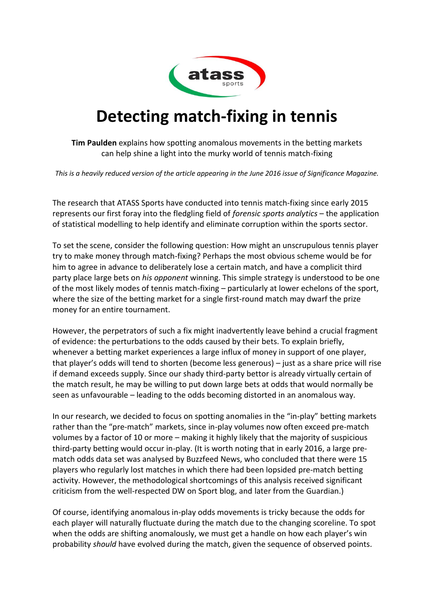

## **Detecting match-fixing in tennis**

**Tim Paulden** explains how spotting anomalous movements in the betting markets can help shine a light into the murky world of tennis match-fixing

*This is a heavily reduced version of the article appearing in the June 2016 issue of Significance Magazine.*

The research that ATASS Sports have conducted into tennis match-fixing since early 2015 represents our first foray into the fledgling field of *forensic sports analytics* – the application of statistical modelling to help identify and eliminate corruption within the sports sector.

To set the scene, consider the following question: How might an unscrupulous tennis player try to make money through match-fixing? Perhaps the most obvious scheme would be for him to agree in advance to deliberately lose a certain match, and have a complicit third party place large bets on *his opponent* winning. This simple strategy is understood to be one of the most likely modes of tennis match-fixing – particularly at lower echelons of the sport, where the size of the betting market for a single first-round match may dwarf the prize money for an entire tournament.

However, the perpetrators of such a fix might inadvertently leave behind a crucial fragment of evidence: the perturbations to the odds caused by their bets. To explain briefly, whenever a betting market experiences a large influx of money in support of one player, that player's odds will tend to shorten (become less generous) – just as a share price will rise if demand exceeds supply. Since our shady third-party bettor is already virtually certain of the match result, he may be willing to put down large bets at odds that would normally be seen as unfavourable – leading to the odds becoming distorted in an anomalous way.

In our research, we decided to focus on spotting anomalies in the "in-play" betting markets rather than the "pre-match" markets, since in-play volumes now often exceed pre-match volumes by a factor of 10 or more – making it highly likely that the majority of suspicious third-party betting would occur in-play. (It is worth noting that in early 2016, a large prematch odds data set was analysed by Buzzfeed News, who concluded that there were 15 players who regularly lost matches in which there had been lopsided pre-match betting activity. However, the methodological shortcomings of this analysis received significant criticism from the well-respected DW on Sport blog, and later from the Guardian.)

Of course, identifying anomalous in-play odds movements is tricky because the odds for each player will naturally fluctuate during the match due to the changing scoreline. To spot when the odds are shifting anomalously, we must get a handle on how each player's win probability *should* have evolved during the match, given the sequence of observed points.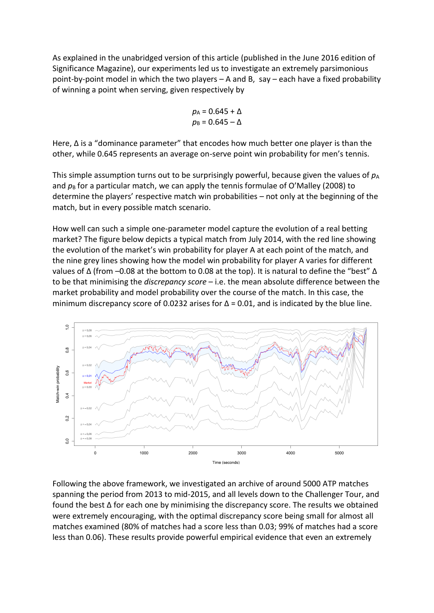As explained in the unabridged version of this article (published in the June 2016 edition of Significance Magazine), our experiments led us to investigate an extremely parsimonious point-by-point model in which the two players – A and B, say – each have a fixed probability of winning a point when serving, given respectively by

$$
p_{A} = 0.645 + \Delta
$$

$$
p_{B} = 0.645 - \Delta
$$

Here,  $\Delta$  is a "dominance parameter" that encodes how much better one player is than the other, while 0.645 represents an average on-serve point win probability for men's tennis.

This simple assumption turns out to be surprisingly powerful, because given the values of  $p_A$ and  $p_B$  for a particular match, we can apply the tennis formulae of O'Malley (2008) to determine the players' respective match win probabilities – not only at the beginning of the match, but in every possible match scenario.

How well can such a simple one-parameter model capture the evolution of a real betting market? The figure below depicts a typical match from July 2014, with the red line showing the evolution of the market's win probability for player A at each point of the match, and the nine grey lines showing how the model win probability for player A varies for different values of  $\Delta$  (from –0.08 at the bottom to 0.08 at the top). It is natural to define the "best"  $\Delta$ to be that minimising the *discrepancy score* – i.e. the mean absolute difference between the market probability and model probability over the course of the match. In this case, the minimum discrepancy score of 0.0232 arises for  $\Delta$  = 0.01, and is indicated by the blue line.



Following the above framework, we investigated an archive of around 5000 ATP matches spanning the period from 2013 to mid-2015, and all levels down to the Challenger Tour, and found the best Δ for each one by minimising the discrepancy score. The results we obtained were extremely encouraging, with the optimal discrepancy score being small for almost all matches examined (80% of matches had a score less than 0.03; 99% of matches had a score less than 0.06). These results provide powerful empirical evidence that even an extremely